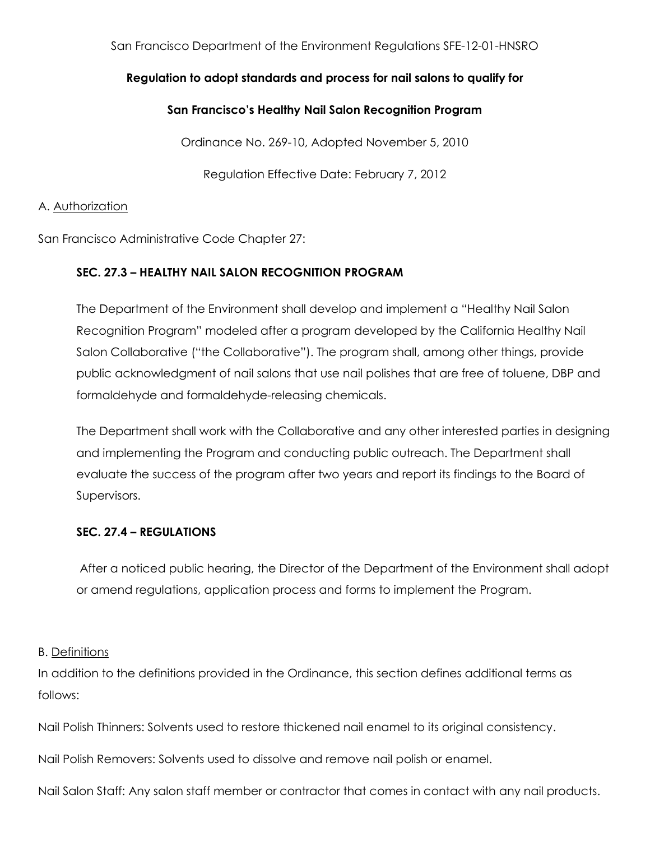### San Francisco Department of the Environment Regulations SFE-12-01-HNSRO

# **Regulation to adopt standards and process for nail salons to qualify for**

# **San Francisco's Healthy Nail Salon Recognition Program**

Ordinance No. 269-10, Adopted November 5, 2010

Regulation Effective Date: February 7, 2012

### A. Authorization

San Francisco Administrative Code Chapter 27:

# **SEC. 27.3 – HEALTHY NAIL SALON RECOGNITION PROGRAM**

The Department of the Environment shall develop and implement a "Healthy Nail Salon Recognition Program" modeled after a program developed by the California Healthy Nail Salon Collaborative ("the Collaborative"). The program shall, among other things, provide public acknowledgment of nail salons that use nail polishes that are free of toluene, DBP and formaldehyde and formaldehyde-releasing chemicals.

The Department shall work with the Collaborative and any other interested parties in designing and implementing the Program and conducting public outreach. The Department shall evaluate the success of the program after two years and report its findings to the Board of Supervisors.

### **SEC. 27.4 – REGULATIONS**

After a noticed public hearing, the Director of the Department of the Environment shall adopt or amend regulations, application process and forms to implement the Program.

### B. Definitions

In addition to the definitions provided in the Ordinance, this section defines additional terms as follows:

Nail Polish Thinners: Solvents used to restore thickened nail enamel to its original consistency.

Nail Polish Removers: Solvents used to dissolve and remove nail polish or enamel.

Nail Salon Staff: Any salon staff member or contractor that comes in contact with any nail products.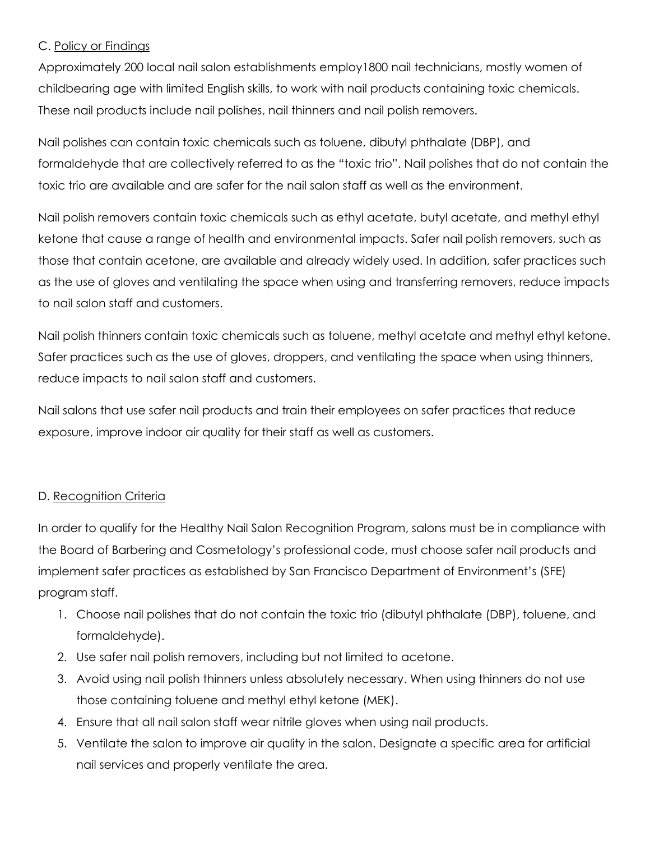# C. Policy or Findings

Approximately 200 local nail salon establishments employ1800 nail technicians, mostly women of childbearing age with limited English skills, to work with nail products containing toxic chemicals. These nail products include nail polishes, nail thinners and nail polish removers.

Nail polishes can contain toxic chemicals such as toluene, dibutyl phthalate (DBP), and formaldehyde that are collectively referred to as the "toxic trio". Nail polishes that do not contain the toxic trio are available and are safer for the nail salon staff as well as the environment.

Nail polish removers contain toxic chemicals such as ethyl acetate, butyl acetate, and methyl ethyl ketone that cause a range of health and environmental impacts. Safer nail polish removers, such as those that contain acetone, are available and already widely used. In addition, safer practices such as the use of gloves and ventilating the space when using and transferring removers, reduce impacts to nail salon staff and customers.

Nail polish thinners contain toxic chemicals such as toluene, methyl acetate and methyl ethyl ketone. Safer practices such as the use of gloves, droppers, and ventilating the space when using thinners, reduce impacts to nail salon staff and customers.

Nail salons that use safer nail products and train their employees on safer practices that reduce exposure, improve indoor air quality for their staff as well as customers.

# D. Recognition Criteria

In order to qualify for the Healthy Nail Salon Recognition Program, salons must be in compliance with the Board of Barbering and Cosmetology's professional code, must choose safer nail products and implement safer practices as established by San Francisco Department of Environment's (SFE) program staff.

- 1. Choose nail polishes that do not contain the toxic trio (dibutyl phthalate (DBP), toluene, and formaldehyde).
- 2. Use safer nail polish removers, including but not limited to acetone.
- 3. Avoid using nail polish thinners unless absolutely necessary. When using thinners do not use those containing toluene and methyl ethyl ketone (MEK).
- 4. Ensure that all nail salon staff wear nitrile gloves when using nail products.
- 5. Ventilate the salon to improve air quality in the salon. Designate a specific area for artificial nail services and properly ventilate the area.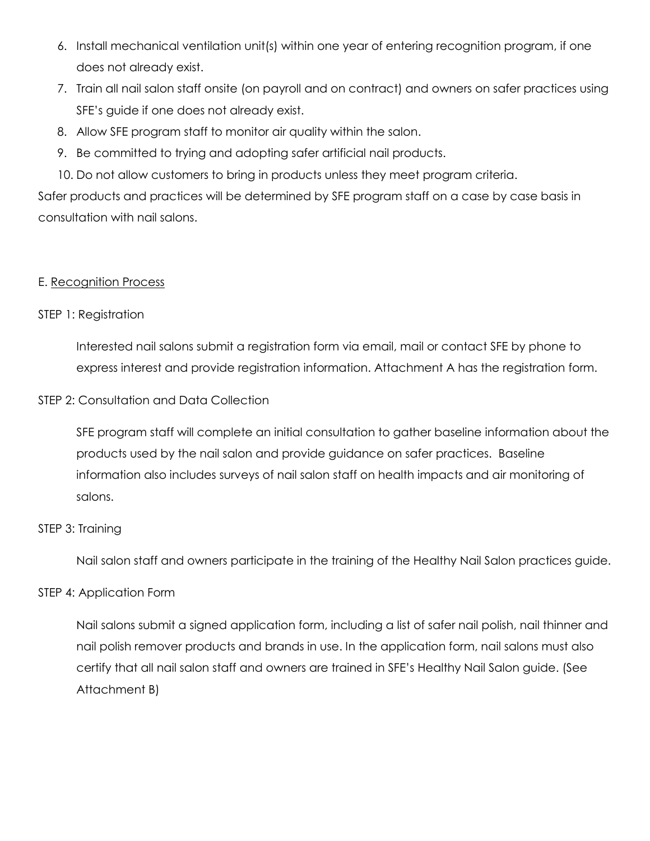- 6. Install mechanical ventilation unit(s) within one year of entering recognition program, if one does not already exist.
- 7. Train all nail salon staff onsite (on payroll and on contract) and owners on safer practices using SFE's guide if one does not already exist.
- 8. Allow SFE program staff to monitor air quality within the salon.
- 9. Be committed to trying and adopting safer artificial nail products.
- 10. Do not allow customers to bring in products unless they meet program criteria.

Safer products and practices will be determined by SFE program staff on a case by case basis in consultation with nail salons.

# E. Recognition Process

# STEP 1: Registration

Interested nail salons submit a registration form via email, mail or contact SFE by phone to express interest and provide registration information. Attachment A has the registration form.

# STEP 2: Consultation and Data Collection

SFE program staff will complete an initial consultation to gather baseline information about the products used by the nail salon and provide guidance on safer practices. Baseline information also includes surveys of nail salon staff on health impacts and air monitoring of salons.

### STEP 3: Training

Nail salon staff and owners participate in the training of the Healthy Nail Salon practices guide.

# STEP 4: Application Form

Nail salons submit a signed application form, including a list of safer nail polish, nail thinner and nail polish remover products and brands in use. In the application form, nail salons must also certify that all nail salon staff and owners are trained in SFE's Healthy Nail Salon guide. (See Attachment B)